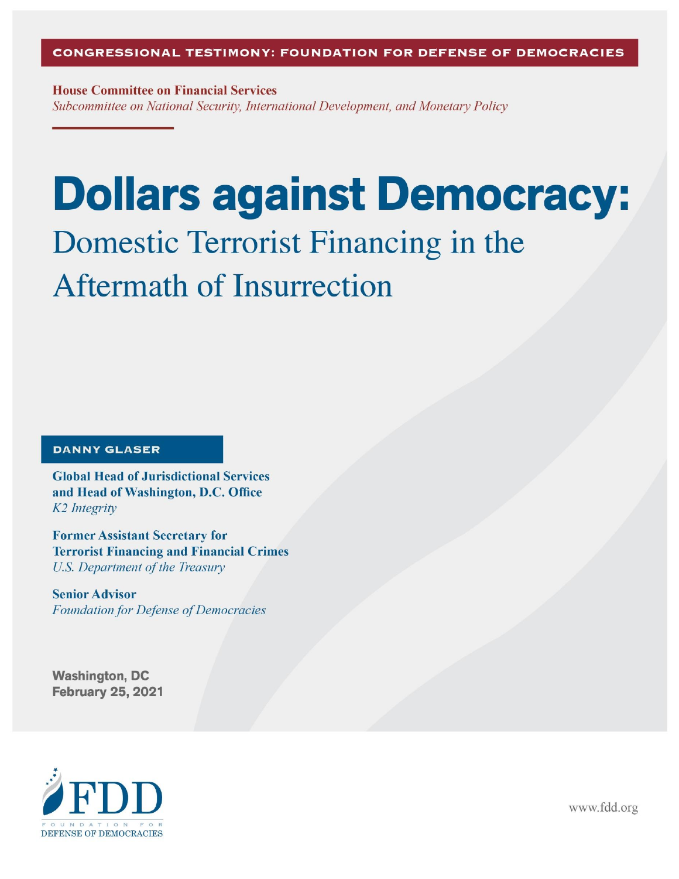**House Committee on Financial Services** Subcommittee on National Security, International Development, and Monetary Policy

# **Dollars against Democracy:** Domestic Terrorist Financing in the **Aftermath of Insurrection**

#### **DANNY GLASER**

**Global Head of Jurisdictional Services** and Head of Washington, D.C. Office K<sub>2</sub> Integrity

**Former Assistant Secretary for Terrorist Financing and Financial Crimes U.S. Department of the Treasury** 

**Senior Advisor Foundation for Defense of Democracies** 

**Washington, DC February 25, 2021** 



www.fdd.org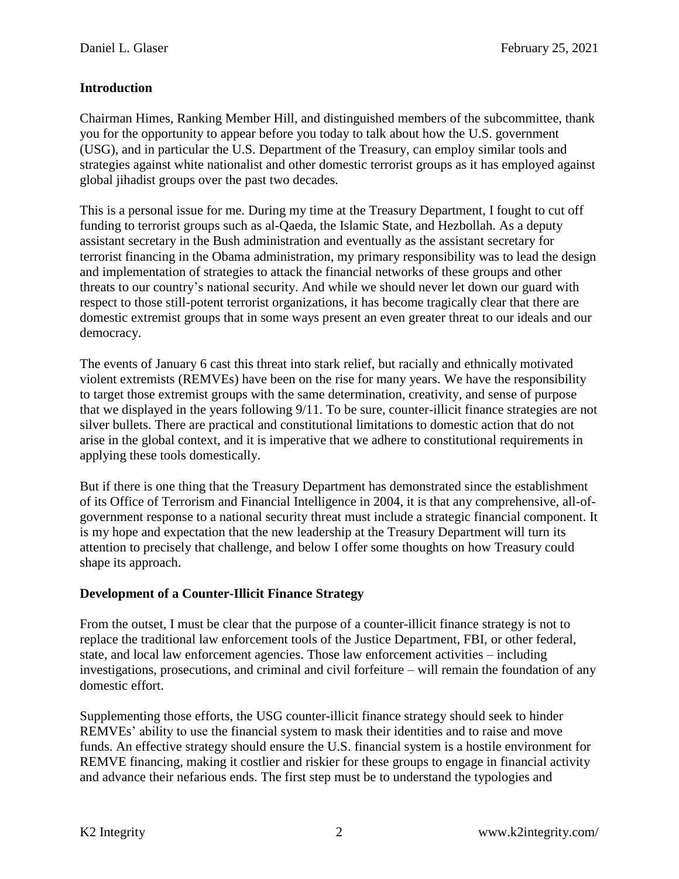### **Introduction**

Chairman Himes, Ranking Member Hill, and distinguished members of the subcommittee, thank you for the opportunity to appear before you today to talk about how the U.S. government (USG), and in particular the U.S. Department of the Treasury, can employ similar tools and strategies against white nationalist and other domestic terrorist groups as it has employed against global jihadist groups over the past two decades.

This is a personal issue for me. During my time at the Treasury Department, I fought to cut off funding to terrorist groups such as al-Qaeda, the Islamic State, and Hezbollah. As a deputy assistant secretary in the Bush administration and eventually as the assistant secretary for terrorist financing in the Obama administration, my primary responsibility was to lead the design and implementation of strategies to attack the financial networks of these groups and other threats to our country's national security. And while we should never let down our guard with respect to those still-potent terrorist organizations, it has become tragically clear that there are domestic extremist groups that in some ways present an even greater threat to our ideals and our democracy.

The events of January 6 cast this threat into stark relief, but racially and ethnically motivated violent extremists (REMVEs) have been on the rise for many years. We have the responsibility to target those extremist groups with the same determination, creativity, and sense of purpose that we displayed in the years following 9/11. To be sure, counter-illicit finance strategies are not silver bullets. There are practical and constitutional limitations to domestic action that do not arise in the global context, and it is imperative that we adhere to constitutional requirements in applying these tools domestically.

But if there is one thing that the Treasury Department has demonstrated since the establishment of its Office of Terrorism and Financial Intelligence in 2004, it is that any comprehensive, all-ofgovernment response to a national security threat must include a strategic financial component. It is my hope and expectation that the new leadership at the Treasury Department will turn its attention to precisely that challenge, and below I offer some thoughts on how Treasury could shape its approach.

#### **Development of a Counter-Illicit Finance Strategy**

From the outset, I must be clear that the purpose of a counter-illicit finance strategy is not to replace the traditional law enforcement tools of the Justice Department, FBI, or other federal, state, and local law enforcement agencies. Those law enforcement activities – including investigations, prosecutions, and criminal and civil forfeiture – will remain the foundation of any domestic effort.

Supplementing those efforts, the USG counter-illicit finance strategy should seek to hinder REMVEs' ability to use the financial system to mask their identities and to raise and move funds. An effective strategy should ensure the U.S. financial system is a hostile environment for REMVE financing, making it costlier and riskier for these groups to engage in financial activity and advance their nefarious ends. The first step must be to understand the typologies and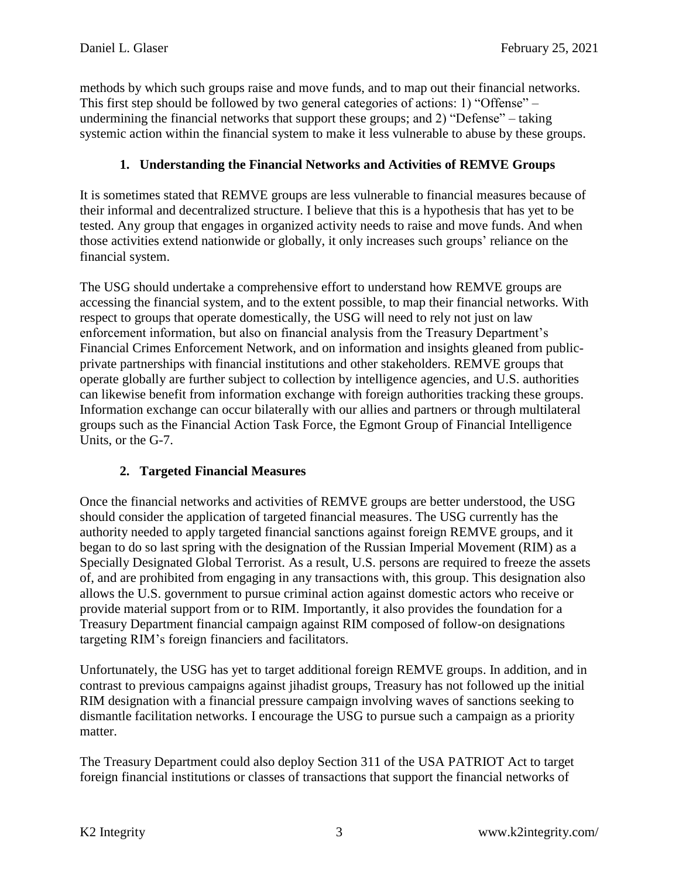methods by which such groups raise and move funds, and to map out their financial networks. This first step should be followed by two general categories of actions: 1) "Offense" – undermining the financial networks that support these groups; and 2) "Defense" – taking systemic action within the financial system to make it less vulnerable to abuse by these groups.

# **1. Understanding the Financial Networks and Activities of REMVE Groups**

It is sometimes stated that REMVE groups are less vulnerable to financial measures because of their informal and decentralized structure. I believe that this is a hypothesis that has yet to be tested. Any group that engages in organized activity needs to raise and move funds. And when those activities extend nationwide or globally, it only increases such groups' reliance on the financial system.

The USG should undertake a comprehensive effort to understand how REMVE groups are accessing the financial system, and to the extent possible, to map their financial networks. With respect to groups that operate domestically, the USG will need to rely not just on law enforcement information, but also on financial analysis from the Treasury Department's Financial Crimes Enforcement Network, and on information and insights gleaned from publicprivate partnerships with financial institutions and other stakeholders. REMVE groups that operate globally are further subject to collection by intelligence agencies, and U.S. authorities can likewise benefit from information exchange with foreign authorities tracking these groups. Information exchange can occur bilaterally with our allies and partners or through multilateral groups such as the Financial Action Task Force, the Egmont Group of Financial Intelligence Units, or the G-7.

# **2. Targeted Financial Measures**

Once the financial networks and activities of REMVE groups are better understood, the USG should consider the application of targeted financial measures. The USG currently has the authority needed to apply targeted financial sanctions against foreign REMVE groups, and it began to do so last spring with the designation of the Russian Imperial Movement (RIM) as a Specially Designated Global Terrorist. As a result, U.S. persons are required to freeze the assets of, and are prohibited from engaging in any transactions with, this group. This designation also allows the U.S. government to pursue criminal action against domestic actors who receive or provide material support from or to RIM. Importantly, it also provides the foundation for a Treasury Department financial campaign against RIM composed of follow-on designations targeting RIM's foreign financiers and facilitators.

Unfortunately, the USG has yet to target additional foreign REMVE groups. In addition, and in contrast to previous campaigns against jihadist groups, Treasury has not followed up the initial RIM designation with a financial pressure campaign involving waves of sanctions seeking to dismantle facilitation networks. I encourage the USG to pursue such a campaign as a priority matter.

The Treasury Department could also deploy Section 311 of the USA PATRIOT Act to target foreign financial institutions or classes of transactions that support the financial networks of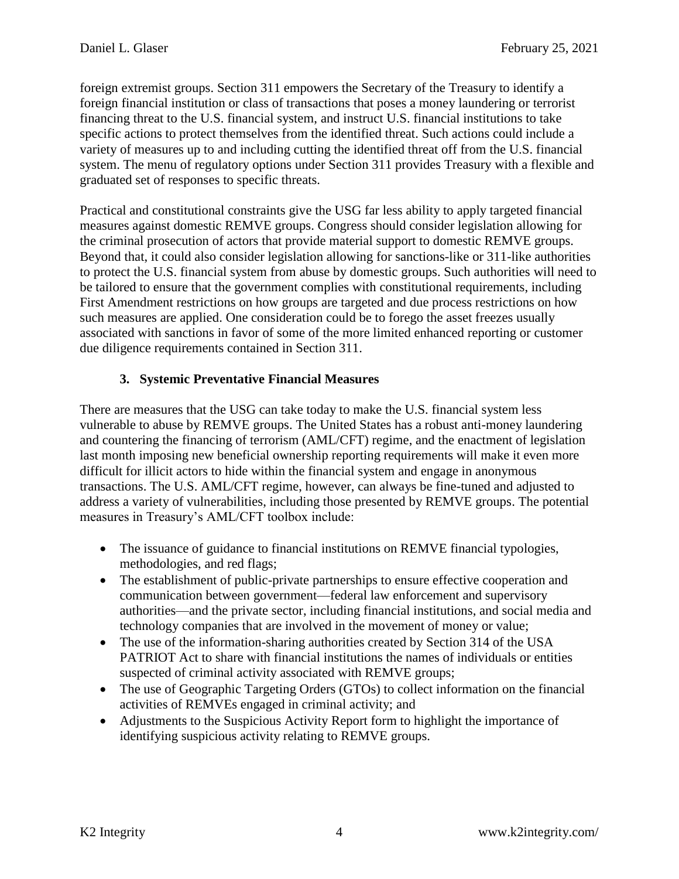foreign extremist groups. Section 311 empowers the Secretary of the Treasury to identify a foreign financial institution or class of transactions that poses a money laundering or terrorist financing threat to the U.S. financial system, and instruct U.S. financial institutions to take specific actions to protect themselves from the identified threat. Such actions could include a variety of measures up to and including cutting the identified threat off from the U.S. financial system. The menu of regulatory options under Section 311 provides Treasury with a flexible and graduated set of responses to specific threats.

Practical and constitutional constraints give the USG far less ability to apply targeted financial measures against domestic REMVE groups. Congress should consider legislation allowing for the criminal prosecution of actors that provide material support to domestic REMVE groups. Beyond that, it could also consider legislation allowing for sanctions-like or 311-like authorities to protect the U.S. financial system from abuse by domestic groups. Such authorities will need to be tailored to ensure that the government complies with constitutional requirements, including First Amendment restrictions on how groups are targeted and due process restrictions on how such measures are applied. One consideration could be to forego the asset freezes usually associated with sanctions in favor of some of the more limited enhanced reporting or customer due diligence requirements contained in Section 311.

# **3. Systemic Preventative Financial Measures**

There are measures that the USG can take today to make the U.S. financial system less vulnerable to abuse by REMVE groups. The United States has a robust anti-money laundering and countering the financing of terrorism (AML/CFT) regime, and the enactment of legislation last month imposing new beneficial ownership reporting requirements will make it even more difficult for illicit actors to hide within the financial system and engage in anonymous transactions. The U.S. AML/CFT regime, however, can always be fine-tuned and adjusted to address a variety of vulnerabilities, including those presented by REMVE groups. The potential measures in Treasury's AML/CFT toolbox include:

- The issuance of guidance to financial institutions on REMVE financial typologies, methodologies, and red flags;
- The establishment of public-private partnerships to ensure effective cooperation and communication between government—federal law enforcement and supervisory authorities—and the private sector, including financial institutions, and social media and technology companies that are involved in the movement of money or value;
- The use of the information-sharing authorities created by Section 314 of the USA PATRIOT Act to share with financial institutions the names of individuals or entities suspected of criminal activity associated with REMVE groups;
- The use of Geographic Targeting Orders (GTOs) to collect information on the financial activities of REMVEs engaged in criminal activity; and
- Adjustments to the Suspicious Activity Report form to highlight the importance of identifying suspicious activity relating to REMVE groups.